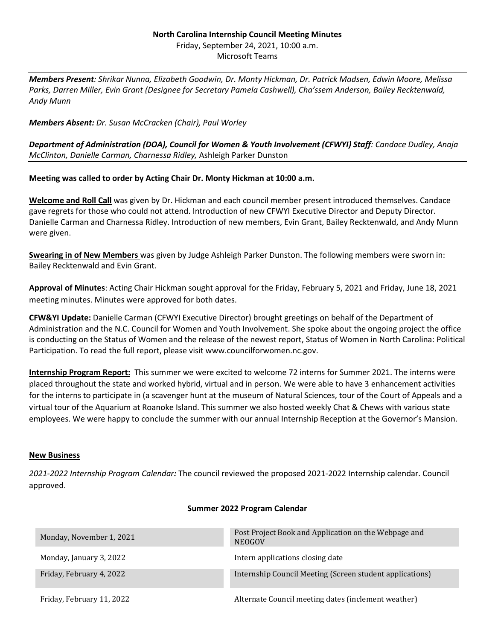## **North Carolina Internship Council Meeting Minutes** Friday, September 24, 2021, 10:00 a.m. Microsoft Teams

*Members Present: Shrikar Nunna, Elizabeth Goodwin, Dr. Monty Hickman, Dr. Patrick Madsen, Edwin Moore, Melissa Parks, Darren Miller, Evin Grant (Designee for Secretary Pamela Cashwell), Cha'ssem Anderson, Bailey Recktenwald, Andy Munn* 

# *Members Absent: Dr. Susan McCracken (Chair), Paul Worley*

*Department of Administration (DOA), Council for Women & Youth Involvement (CFWYI) Staff: Candace Dudley, Anaja McClinton, Danielle Carman, Charnessa Ridley,* Ashleigh Parker Dunston

# **Meeting was called to order by Acting Chair Dr. Monty Hickman at 10:00 a.m.**

**Welcome and Roll Call** was given by Dr. Hickman and each council member present introduced themselves. Candace gave regrets for those who could not attend. Introduction of new CFWYI Executive Director and Deputy Director. Danielle Carman and Charnessa Ridley. Introduction of new members, Evin Grant, Bailey Recktenwald, and Andy Munn were given.

**Swearing in of New Members** was given by Judge Ashleigh Parker Dunston. The following members were sworn in: Bailey Recktenwald and Evin Grant.

**Approval of Minutes**: Acting Chair Hickman sought approval for the Friday, February 5, 2021 and Friday, June 18, 2021 meeting minutes. Minutes were approved for both dates.

**CFW&YI Update:** Danielle Carman (CFWYI Executive Director) brought greetings on behalf of the Department of Administration and the N.C. Council for Women and Youth Involvement. She spoke about the ongoing project the office is conducting on the Status of Women and the release of the newest report, Status of Women in North Carolina: Political Participation. To read the full report, please visit www.councilforwomen.nc.gov.

**Internship Program Report:** This summer we were excited to welcome 72 interns for Summer 2021. The interns were placed throughout the state and worked hybrid, virtual and in person. We were able to have 3 enhancement activities for the interns to participate in (a scavenger hunt at the museum of Natural Sciences, tour of the Court of Appeals and a virtual tour of the Aquarium at Roanoke Island. This summer we also hosted weekly Chat & Chews with various state employees. We were happy to conclude the summer with our annual Internship Reception at the Governor's Mansion.

## **New Business**

*2021-2022 Internship Program Calendar:* The council reviewed the proposed 2021-2022 Internship calendar. Council approved.

## **Summer 2022 Program Calendar**

| Monday, November 1, 2021  | Post Project Book and Application on the Webpage and<br><b>NEOGOV</b> |
|---------------------------|-----------------------------------------------------------------------|
| Monday, January 3, 2022   | Intern applications closing date                                      |
| Friday, February 4, 2022  | Internship Council Meeting (Screen student applications)              |
| Friday, February 11, 2022 | Alternate Council meeting dates (inclement weather)                   |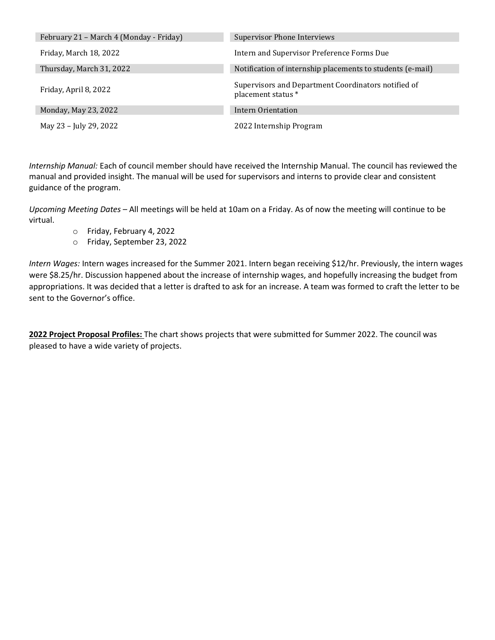| February 21 - March 4 (Monday - Friday) | <b>Supervisor Phone Interviews</b>                                        |
|-----------------------------------------|---------------------------------------------------------------------------|
| Friday, March 18, 2022                  | Intern and Supervisor Preference Forms Due                                |
| Thursday, March 31, 2022                | Notification of internship placements to students (e-mail)                |
| Friday, April 8, 2022                   | Supervisors and Department Coordinators notified of<br>placement status * |
| Monday, May 23, 2022                    | Intern Orientation                                                        |
| May 23 - July 29, 2022                  | 2022 Internship Program                                                   |

*Internship Manual:* Each of council member should have received the Internship Manual. The council has reviewed the manual and provided insight. The manual will be used for supervisors and interns to provide clear and consistent guidance of the program.

*Upcoming Meeting Dates* – All meetings will be held at 10am on a Friday. As of now the meeting will continue to be virtual.

- o Friday, February 4, 2022
- o Friday, September 23, 2022

*Intern Wages:* Intern wages increased for the Summer 2021. Intern began receiving \$12/hr. Previously, the intern wages were \$8.25/hr. Discussion happened about the increase of internship wages, and hopefully increasing the budget from appropriations. It was decided that a letter is drafted to ask for an increase. A team was formed to craft the letter to be sent to the Governor's office.

**2022 Project Proposal Profiles:** The chart shows projects that were submitted for Summer 2022. The council was pleased to have a wide variety of projects.